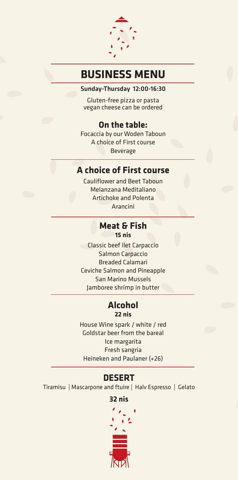

# **BUSINESS MENU**

Sunday-Thursday 12:00-16:30

Gluten-free pizza or pasta vegan cheese can be ordered

# **On the table:**

Focaccia by our Woden Taboun A choice of First course Beverage

## **A choice of First course**

Cauliflower and Beet Taboun Melanzana Meditaliano Artichoke and Polenta Arancini

### **Meat & Fish nis 15**

Classic beef llet Carpaccio Salmon Carpaccio **Breaded Calamari** Ceviche Salmon and Pineapple **San Marino Mussels** Jamboree shrimp in butter

## **Alcohol nis 22**

House Wine spark / white / red Goldstar beer from the bareal Ice margarita Fresh sangria Heineken and Paulaner (+26)

# **DESERT**

Tiramisu | Mascarpone and ftuire | Halv Espresso | Gelato

### **nis 32**